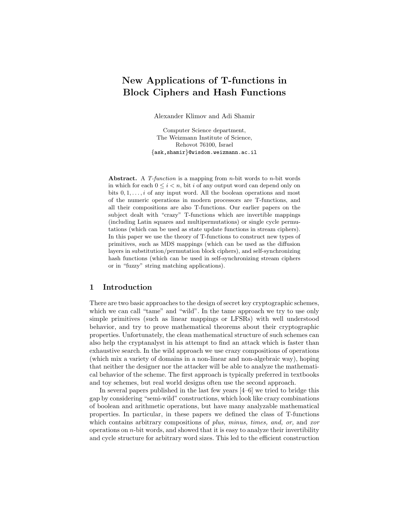# New Applications of T-functions in Block Ciphers and Hash Functions

Alexander Klimov and Adi Shamir

Computer Science department, The Weizmann Institute of Science, Rehovot 76100, Israel {ask,shamir}@wisdom.weizmann.ac.il

Abstract. A  $T$ -function is a mapping from *n*-bit words to *n*-bit words in which for each  $0 \leq i \leq n$ , bit i of any output word can depend only on bits  $0, 1, \ldots, i$  of any input word. All the boolean operations and most of the numeric operations in modern processors are T-functions, and all their compositions are also T-functions. Our earlier papers on the subject dealt with "crazy" T-functions which are invertible mappings (including Latin squares and multipermutations) or single cycle permutations (which can be used as state update functions in stream ciphers). In this paper we use the theory of T-functions to construct new types of primitives, such as MDS mappings (which can be used as the diffusion layers in substitution/permutation block ciphers), and self-synchronizing hash functions (which can be used in self-synchronizing stream ciphers or in "fuzzy" string matching applications).

#### 1 Introduction

There are two basic approaches to the design of secret key cryptographic schemes, which we can call "tame" and "wild". In the tame approach we try to use only simple primitives (such as linear mappings or LFSRs) with well understood behavior, and try to prove mathematical theorems about their cryptographic properties. Unfortunately, the clean mathematical structure of such schemes can also help the cryptanalyst in his attempt to find an attack which is faster than exhaustive search. In the wild approach we use crazy compositions of operations (which mix a variety of domains in a non-linear and non-algebraic way), hoping that neither the designer nor the attacker will be able to analyze the mathematical behavior of the scheme. The first approach is typically preferred in textbooks and toy schemes, but real world designs often use the second approach.

In several papers published in the last few years [4–6] we tried to bridge this gap by considering "semi-wild" constructions, which look like crazy combinations of boolean and arithmetic operations, but have many analyzable mathematical properties. In particular, in these papers we defined the class of T-functions which contains arbitrary compositions of *plus, minus, times, and, or, and xor* operations on  $n$ -bit words, and showed that it is easy to analyze their invertibility and cycle structure for arbitrary word sizes. This led to the efficient construction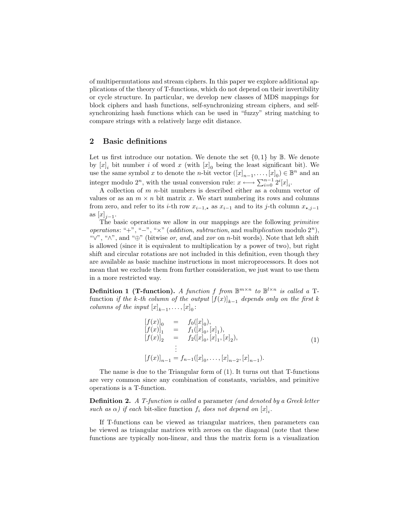of multipermutations and stream ciphers. In this paper we explore additional applications of the theory of T-functions, which do not depend on their invertibility or cycle structure. In particular, we develop new classes of MDS mappings for block ciphers and hash functions, self-synchronizing stream ciphers, and selfsynchronizing hash functions which can be used in "fuzzy" string matching to compare strings with a relatively large edit distance.

# 2 Basic definitions

Let us first introduce our notation. We denote the set  $\{0,1\}$  by  $\mathbb B$ . We denote by  $[x]_i$  bit number i of word x (with  $[x]_0$  being the least significant bit). We use the same symbol x to denote the n-bit vector  $([x]_{n-1}, \ldots, [x]_0) \in \mathbb{B}^n$  and an integer modulo  $2^n$ , with the usual conversion rule:  $x \leftrightarrow \sum_{i=0}^{n-1} 2^i [x]_i$ .

A collection of  $m$  n-bit numbers is described either as a column vector of values or as an  $m \times n$  bit matrix x. We start numbering its rows and columns from zero, and refer to its i-th row  $x_{i-1, \star}$  as  $x_{i-1}$  and to its j-th column  $x_{\star, j-1}$ as  $[x]_{j-1}$ .

The basic operations we allow in our mappings are the following *primitive* operations: "+", "-", " $\times$ " (addition, subtraction, and multiplication modulo  $2<sup>n</sup>$ ), " $\vee$ ", " $\wedge$ ", and " $\oplus$ " (bitwise *or, and, and xor* on *n*-bit words). Note that left shift is allowed (since it is equivalent to multiplication by a power of two), but right shift and circular rotations are not included in this definition, even though they are available as basic machine instructions in most microprocessors. It does not mean that we exclude them from further consideration, we just want to use them in a more restricted way.

**Definition 1 (T-function).** A function f from  $\mathbb{B}^{m \times n}$  to  $\mathbb{B}^{l \times n}$  is called a Tfunction if the k-th column of the output  $[f(x)]_{k-1}$  depends only on the first k columns of the input  $[x]_{k-1}, \ldots, [x]_0$ :

$$
\begin{array}{rcl}\n[f(x)]_0 & = & f_0([x]_0), \\
[f(x)]_1 & = & f_1([x]_0, [x]_1), \\
[f(x)]_2 & = & f_2([x]_0, [x]_1, [x]_2), \\
&\vdots \\
[f(x)]_{n-1} & = f_{n-1}([x]_0, \dots, [x]_{n-2}, [x]_{n-1}).\n\end{array} \tag{1}
$$

The name is due to the Triangular form of (1). It turns out that T-functions are very common since any combination of constants, variables, and primitive operations is a T-function.

Definition 2. A T-function is called a parameter (and denoted by a Greek letter such as  $\alpha$ ) if each bit-slice function  $f_i$  does not depend on  $[x]_i$ .

If T-functions can be viewed as triangular matrices, then parameters can be viewed as triangular matrices with zeroes on the diagonal (note that these functions are typically non-linear, and thus the matrix form is a visualization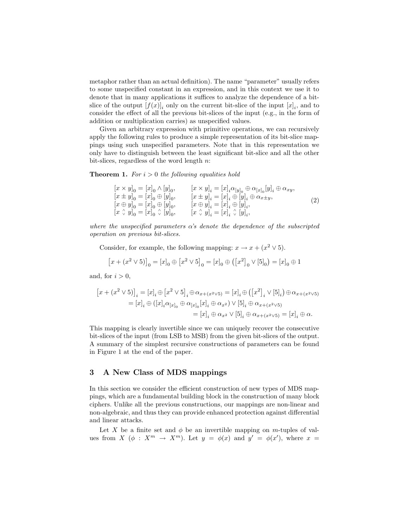metaphor rather than an actual definition). The name "parameter" usually refers to some unspecified constant in an expression, and in this context we use it to denote that in many applications it suffices to analyze the dependence of a bitslice of the output  $[f(x)]_i$  only on the current bit-slice of the input  $[x]_i$ , and to consider the effect of all the previous bit-slices of the input (e.g., in the form of addition or multiplication carries) as unspecified values.

Given an arbitrary expression with primitive operations, we can recursively apply the following rules to produce a simple representation of its bit-slice mappings using such unspecified parameters. Note that in this representation we only have to distinguish between the least significant bit-slice and all the other bit-slices, regardless of the word length  $n$ :

**Theorem 1.** For  $i > 0$  the following equalities hold

$$
\begin{array}{ll}\n[x \times y]_0 = [x]_0 \wedge [y]_0, & [x \times y]_i = [x]_i \alpha_{[y]_0} \oplus \alpha_{[x]_0} [y]_i \oplus \alpha_{xy}, \\
[x \pm y]_0 = [x]_0 \oplus [y]_0, & [x \pm y]_i = [x]_i \oplus [y]_i \oplus \alpha_{x \pm y}, \\
[x \oplus y]_0 = [x]_0 \oplus [y]_0, & [x \oplus y]_i = [x]_i \oplus [y]_i, \\
[x \stackrel{\wedge}{\vee} y]_0 = [x]_0 \stackrel{\wedge}{\vee} [y]_0, & [x \stackrel{\wedge}{\vee} y]_i = [x]_i \stackrel{\wedge}{\vee} [y]_i,\n\end{array} \tag{2}
$$

where the unspecified parameters  $\alpha$ 's denote the dependence of the subscripted operation on previous bit-slices.

Consider, for example, the following mapping:  $x \to x + (x^2 \vee 5)$ .

$$
[x + (x2 \vee 5)]_0 = [x]_0 \oplus [x2 \vee 5]_0 = [x]_0 \oplus ([x2]0 \vee [5]_0) = [x]_0 \oplus 1
$$

and, for  $i > 0$ ,

$$
[x + (x2 \vee 5)]i = [x]i \oplus [x2 \vee 5]i \oplus \alpha_{x + (x2 \vee 5)} = [x]i \oplus ([x2]i \vee [5]i) \oplus \alpha_{x + (x2 \vee 5)}
$$
  
= [x]<sub>i</sub> \oplus ([x]<sub>i</sub> \alpha<sub>[x]<sub>0</sub> \oplus \alpha<sub>[x]<sub>0</sub> [x]<sub>i</sub> \oplus \alpha\_{x<sup>2</sup>} \vee [5]<sub>i</sub> \oplus \alpha\_{x + (x<sup>2</sup> \vee 5)}  
= [x]<sub>i</sub> \oplus \alpha\_{x<sup>2</sup>} \vee [5]<sub>i</sub> \oplus \alpha\_{x + (x<sup>2</sup> \vee 5)} = [x]<sub>i</sub> \oplus \alpha.</sub></sub>

This mapping is clearly invertible since we can uniquely recover the consecutive bit-slices of the input (from LSB to MSB) from the given bit-slices of the output. A summary of the simplest recursive constructions of parameters can be found in Figure 1 at the end of the paper.

# 3 A New Class of MDS mappings

In this section we consider the efficient construction of new types of MDS mappings, which are a fundamental building block in the construction of many block ciphers. Unlike all the previous constructions, our mappings are non-linear and non-algebraic, and thus they can provide enhanced protection against differential and linear attacks.

Let X be a finite set and  $\phi$  be an invertible mapping on m-tuples of values from X  $(\phi : X^m \to X^m)$ . Let  $y = \phi(x)$  and  $y' = \phi(x')$ , where  $x =$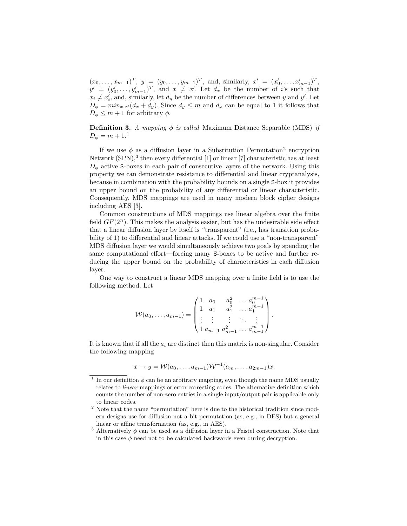$(x_0, \ldots, x_{m-1})^T$ ,  $y = (y_0, \ldots, y_{m-1})^T$ , and, similarly,  $x' = (x'_0, \ldots, x'_{m-1})^T$ ,  $y' = (y'_0, \ldots, y'_{m-1})^T$ , and  $x \neq x'$ . Let  $d_x$  be the number of i's such that  $x_i \neq x'_i$ , and, similarly, let  $d_y$  be the number of differences between y and y'. Let  $D_{\phi} = min_{x,x'}(d_x + d_y)$ . Since  $d_y \leq m$  and  $d_x$  can be equal to 1 it follows that  $D_{\phi} \leq m + 1$  for arbitrary  $\phi$ .

**Definition 3.** A mapping  $\phi$  is called Maximum Distance Separable (MDS) if  $D_{\phi} = m + 1.1$ 

If we use  $\phi$  as a diffusion layer in a Substitution Permutation<sup>2</sup> encryption Network (SPN),<sup>3</sup> then every differential [1] or linear [7] characteristic has at least  $D_{\phi}$  active S-boxes in each pair of consecutive layers of the network. Using this property we can demonstrate resistance to differential and linear cryptanalysis, because in combination with the probability bounds on a single S-box it provides an upper bound on the probability of any differential or linear characteristic. Consequently, MDS mappings are used in many modern block cipher designs including AES [3].

Common constructions of MDS mappings use linear algebra over the finite field  $GF(2<sup>n</sup>)$ . This makes the analysis easier, but has the undesirable side effect that a linear diffusion layer by itself is "transparent" (i.e., has transition probability of 1) to differential and linear attacks. If we could use a "non-transparent" MDS diffusion layer we would simultaneously achieve two goals by spending the same computational effort—forcing many S-boxes to be active and further reducing the upper bound on the probability of characteristics in each diffusion layer.

One way to construct a linear MDS mapping over a finite field is to use the following method. Let

$$
\mathcal{W}(a_0,\ldots,a_{m-1}) = \begin{pmatrix} 1 & a_0 & a_0^2 & \ldots & a_0^{m-1} \\ 1 & a_1 & a_1^2 & \ldots & a_1^{m-1} \\ \vdots & \vdots & \vdots & \ddots & \vdots \\ 1 & a_{m-1} & a_{m-1}^2 & \ldots & a_{m-1}^{m-1} \end{pmatrix}.
$$

It is known that if all the  $a_i$  are distinct then this matrix is non-singular. Consider the following mapping

$$
x \to y = \mathcal{W}(a_0, \dots, a_{m-1})\mathcal{W}^{-1}(a_m, \dots, a_{2m-1})x.
$$

<sup>&</sup>lt;sup>1</sup> In our definition  $\phi$  can be an arbitrary mapping, even though the name MDS usually relates to linear mappings or error correcting codes. The alternative definition which counts the number of non-zero entries in a single input/output pair is applicable only to linear codes.

 $2$  Note that the name "permutation" here is due to the historical tradition since modern designs use for diffusion not a bit permutation (as, e.g., in DES) but a general linear or affine transformation (as, e.g., in AES).

 $^3$  Alternatively  $\phi$  can be used as a diffusion layer in a Feistel construction. Note that in this case  $\phi$  need not to be calculated backwards even during decryption.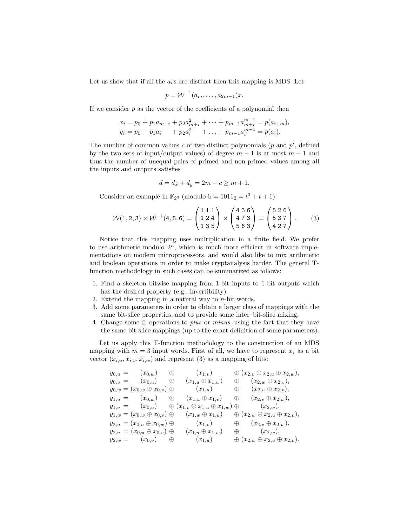Let us show that if all the  $a_i$ 's are distinct then this mapping is MDS. Let

$$
p = \mathcal{W}^{-1}(a_m, \dots, a_{2m-1})x.
$$

If we consider  $p$  as the vector of the coefficients of a polynomial then

$$
x_i = p_0 + p_1 a_{m+i} + p_2 a_{m+i}^2 + \dots + p_{m-1} a_{m+i}^{m-1} = p(a_{i+m}),
$$
  
\n
$$
y_i = p_0 + p_1 a_i + p_2 a_i^2 + \dots + p_{m-1} a_i^{m-1} = p(a_i).
$$

The number of common values  $c$  of two distinct polynomials  $(p \text{ and } p', \text{ defined})$ by the two sets of input/output values) of degree  $m - 1$  is at most  $m - 1$  and thus the number of unequal pairs of primed and non-primed values among all the inputs and outputs satisfies

$$
d = d_x + d_y = 2m - c \ge m + 1.
$$

Consider an example in  $\mathbb{F}_{2^3}$  (modulo  $\mathbf{b} = 1011_2 = t^3 + t + 1$ ):

$$
\mathcal{W}(1,2,3) \times \mathcal{W}^{-1}(4,5,6) = \begin{pmatrix} 1 & 1 & 1 \\ 1 & 2 & 4 \\ 1 & 3 & 5 \end{pmatrix} \times \begin{pmatrix} 4 & 3 & 6 \\ 4 & 7 & 3 \\ 5 & 6 & 3 \end{pmatrix} = \begin{pmatrix} 5 & 2 & 6 \\ 5 & 3 & 7 \\ 4 & 2 & 7 \end{pmatrix}.
$$
 (3)

Notice that this mapping uses multiplication in a finite field. We prefer to use arithmetic modulo  $2^n$ , which is much more efficient in software implementations on modern microprocessors, and would also like to mix arithmetic and boolean operations in order to make cryptanalysis harder. The general Tfunction methodology in such cases can be summarized as follows:

- 1. Find a skeleton bitwise mapping from 1-bit inputs to 1-bit outputs which has the desired property (e.g., invertibility).
- 2. Extend the mapping in a natural way to  $n$ -bit words.
- 3. Add some parameters in order to obtain a larger class of mappings with the same bit-slice properties, and to provide some inter–bit-slice mixing.
- 4. Change some  $\oplus$  operations to plus or minus, using the fact that they have the same bit-slice mappings (up to the exact definition of some parameters).

Let us apply this T-function methodology to the construction of an MDS mapping with  $m = 3$  input words. First of all, we have to represent  $x_i$  as a bit vector  $(x_{i,u}, x_{i,v}, x_{i,w})$  and represent (3) as a mapping of bits:

$$
y_{0,u} = (x_{0,w}) \oplus (x_{1,v}) \oplus (x_{2,v} \oplus x_{2,u} \oplus x_{2,w}),
$$
  
\n
$$
y_{0,v} = (x_{0,u}) \oplus (x_{1,u} \oplus x_{1,w}) \oplus (x_{2,w} \oplus x_{2,v}),
$$
  
\n
$$
y_{0,w} = (x_{0,w} \oplus x_{0,v}) \oplus (x_{1,u} \oplus x_{1,v}) \oplus (x_{2,u} \oplus x_{2,v}),
$$
  
\n
$$
y_{1,u} = (x_{0,w}) \oplus (x_{1,u} \oplus x_{1,v}) \oplus (x_{2,v} \oplus x_{2,w}),
$$
  
\n
$$
y_{1,v} = (x_{0,u}) \oplus (x_{1,v} \oplus x_{1,u} \oplus x_{1,w}) \oplus (x_{2,w} \oplus x_{2,w}),
$$
  
\n
$$
y_{1,w} = (x_{0,w} \oplus x_{0,v}) \oplus (x_{1,w} \oplus x_{1,u}) \oplus (x_{2,w} \oplus x_{2,u} \oplus x_{2,v}),
$$
  
\n
$$
y_{2,u} = (x_{0,u} \oplus x_{0,v}) \oplus (x_{1,u} \oplus x_{1,w}) \oplus (x_{2,v} \oplus x_{2,w}),
$$
  
\n
$$
y_{2,w} = (x_{0,v}) \oplus (x_{1,u} \oplus x_{1,w}) \oplus (x_{2,w} \oplus x_{2,w}),
$$
  
\n
$$
y_{2,w} = (x_{0,v}) \oplus (x_{1,u}) \oplus (x_{2,w} \oplus x_{2,u} \oplus x_{2,v}).
$$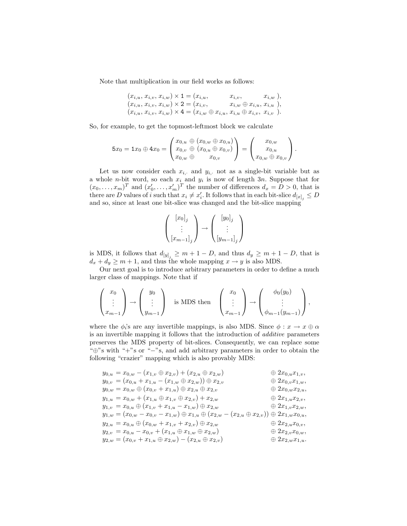Note that multiplication in our field works as follows:

$$
(x_{i,u}, x_{i,v}, x_{i,w}) \times 1 = (x_{i,u}, x_{i,v}, x_{i,w}),
$$
  
\n
$$
(x_{i,u}, x_{i,v}, x_{i,w}) \times 2 = (x_{i,v}, x_{i,w} \oplus x_{i,u}, x_{i,u}),
$$
  
\n
$$
(x_{i,u}, x_{i,v}, x_{i,w}) \times 4 = (x_{i,w} \oplus x_{i,u}, x_{i,u} \oplus x_{i,v}, x_{i,v}).
$$

So, for example, to get the topmost-leftmost block we calculate

$$
5x_0 = 1x_0 \oplus 4x_0 = \begin{pmatrix} x_{0,u} \oplus (x_{0,w} \oplus x_{0,u}) \\ x_{0,v} \oplus (x_{0,u} \oplus x_{0,v}) \\ x_{0,w} \oplus x_{0,v} \end{pmatrix} = \begin{pmatrix} x_{0,w} \\ x_{0,u} \\ x_{0,w} \oplus x_{0,v} \end{pmatrix}.
$$

Let us now consider each  $x_{i, \cdot}$  and  $y_{i, \cdot}$  not as a single-bit variable but as a whole *n*-bit word, so each  $x_i$  and  $y_i$  is now of length 3*n*. Suppose that for  $(x_0, \ldots, x_m)^T$  and  $(x'_0, \ldots, x'_m)^T$  the number of differences  $d_x = D > 0$ , that is there are D values of i such that  $x_i \neq x'_i$ . It follows that in each bit-slice  $d_{[x]_j} \leq D$ and so, since at least one bit-slice was changed and the bit-slice mapping

$$
\begin{pmatrix} [x_0]_j \\ \vdots \\ [x_{m-1}]_j \end{pmatrix} \rightarrow \begin{pmatrix} [y_0]_j \\ \vdots \\ [y_{m-1}]_j \end{pmatrix}
$$

is MDS, it follows that  $d_{[y]_j} \geq m+1-D$ , and thus  $d_y \geq m+1-D$ , that is  $d_x + d_y \ge m + 1$ , and thus the whole mapping  $x \to y$  is also MDS.

Our next goal is to introduce arbitrary parameters in order to define a much larger class of mappings. Note that if

$$
\begin{pmatrix} x_0 \\ \vdots \\ x_{m-1} \end{pmatrix} \rightarrow \begin{pmatrix} y_0 \\ \vdots \\ y_{m-1} \end{pmatrix} \text{ is MDS then } \begin{pmatrix} x_0 \\ \vdots \\ x_{m-1} \end{pmatrix} \rightarrow \begin{pmatrix} \phi_0(y_0) \\ \vdots \\ \phi_{m-1}(y_{m-1}) \end{pmatrix},
$$

where the  $\phi_i$ 's are any invertible mappings, is also MDS. Since  $\phi: x \to x \oplus \alpha$ is an invertible mapping it follows that the introduction of additive parameters preserves the MDS property of bit-slices. Consequently, we can replace some "⊕"s with "+"s or "−"s, and add arbitrary parameters in order to obtain the following "crazier" mapping which is also provably MDS:

$$
y_{0,u} = x_{0,w} - (x_{1,v} \oplus x_{2,v}) + (x_{2,u} \oplus x_{2,w}) \qquad \oplus 2x_{0,u}x_{1,v},
$$
  
\n
$$
y_{0,v} = (x_{0,u} + x_{1,u} - (x_{1,w} \oplus x_{2,w})) \oplus x_{2,v} \qquad \oplus 2x_{0,v}x_{1,w},
$$
  
\n
$$
y_{0,w} = x_{0,w} \oplus (x_{0,v} + x_{1,u}) \oplus x_{2,u} \oplus x_{2,v} \qquad \oplus 2x_{0,w}x_{2,u},
$$
  
\n
$$
y_{1,u} = x_{0,w} + (x_{1,u} \oplus x_{1,v} \oplus x_{2,v}) + x_{2,w} \qquad \oplus 2x_{1,u}x_{2,v},
$$
  
\n
$$
y_{1,v} = x_{0,u} \oplus (x_{1,v} + x_{1,u} - x_{1,w}) \oplus x_{2,w} \qquad \oplus 2x_{1,v}x_{2,w},
$$
  
\n
$$
y_{1,w} = (x_{0,w} - x_{0,v} - x_{1,w}) \oplus x_{1,u} \oplus (x_{2,w} - (x_{2,u} \oplus x_{2,v})) \oplus 2x_{1,w}x_{0,u},
$$
  
\n
$$
y_{2,u} = x_{0,u} \oplus (x_{0,w} + x_{1,v} + x_{2,v}) \oplus x_{2,w} \qquad \oplus 2x_{2,u}x_{0,v},
$$
  
\n
$$
y_{2,w} = x_{0,u} - x_{0,v} + (x_{1,u} \oplus x_{1,w} \oplus x_{2,w}) \qquad \oplus 2x_{2,v}x_{0,w},
$$
  
\n
$$
y_{2,w} = (x_{0,v} + x_{1,u} \oplus x_{2,w}) - (x_{2,u} \oplus x_{2,v}) \qquad \oplus 2x_{2,w}x_{1,u}.
$$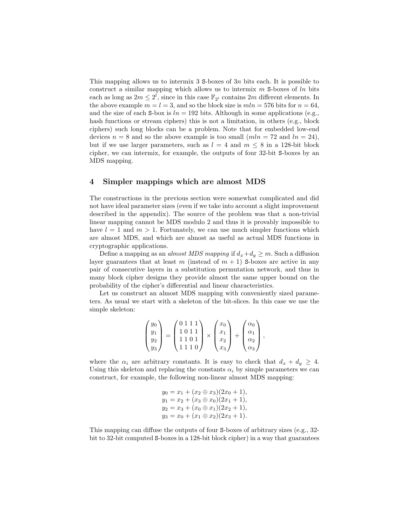This mapping allows us to intermix 3 S-boxes of  $3n$  bits each. It is possible to construct a similar mapping which allows us to intermix  $m$  S-boxes of  $ln$  bits each as long as  $2m \leq 2^l$ , since in this case  $\mathbb{F}_{2^l}$  contains  $2m$  different elements. In the above example  $m = l = 3$ , and so the block size is  $mln = 576$  bits for  $n = 64$ , and the size of each S-box is  $ln = 192$  bits. Although in some applications (e.g., hash functions or stream ciphers) this is not a limitation, in others (e.g., block ciphers) such long blocks can be a problem. Note that for embedded low-end devices  $n = 8$  and so the above example is too small  $(mln = 72$  and  $ln = 24)$ , but if we use larger parameters, such as  $l = 4$  and  $m \leq 8$  in a 128-bit block cipher, we can intermix, for example, the outputs of four 32-bit S-boxes by an MDS mapping.

## 4 Simpler mappings which are almost MDS

The constructions in the previous section were somewhat complicated and did not have ideal parameter sizes (even if we take into account a slight improvement described in the appendix). The source of the problem was that a non-trivial linear mapping cannot be MDS modulo 2 and thus it is provably impossible to have  $l = 1$  and  $m > 1$ . Fortunately, we can use much simpler functions which are almost MDS, and which are almost as useful as actual MDS functions in cryptographic applications.

Define a mapping as an *almost MDS mapping* if  $d_x + d_y \geq m$ . Such a diffusion layer guarantees that at least m (instead of  $m + 1$ ) S-boxes are active in any pair of consecutive layers in a substitution permutation network, and thus in many block cipher designs they provide almost the same upper bound on the probability of the cipher's differential and linear characteristics.

Let us construct an almost MDS mapping with conveniently sized parameters. As usual we start with a skeleton of the bit-slices. In this case we use the simple skeleton:

$$
\begin{pmatrix} y_0 \\ y_1 \\ y_2 \\ y_3 \end{pmatrix} = \begin{pmatrix} 0 & 1 & 1 & 1 \\ 1 & 0 & 1 & 1 \\ 1 & 1 & 0 & 1 \\ 1 & 1 & 1 & 0 \end{pmatrix} \times \begin{pmatrix} x_0 \\ x_1 \\ x_2 \\ x_3 \end{pmatrix} + \begin{pmatrix} \alpha_0 \\ \alpha_1 \\ \alpha_2 \\ \alpha_3 \end{pmatrix},
$$

where the  $\alpha_i$  are arbitrary constants. It is easy to check that  $d_x + d_y \geq 4$ . Using this skeleton and replacing the constants  $\alpha_i$  by simple parameters we can construct, for example, the following non-linear almost MDS mapping:

$$
y_0 = x_1 + (x_2 \oplus x_3)(2x_0 + 1),
$$
  
\n
$$
y_1 = x_2 + (x_3 \oplus x_0)(2x_1 + 1),
$$
  
\n
$$
y_2 = x_3 + (x_0 \oplus x_1)(2x_2 + 1),
$$
  
\n
$$
y_3 = x_0 + (x_1 \oplus x_2)(2x_3 + 1).
$$

This mapping can diffuse the outputs of four S-boxes of arbitrary sizes (e.g., 32 bit to 32-bit computed S-boxes in a 128-bit block cipher) in a way that guarantees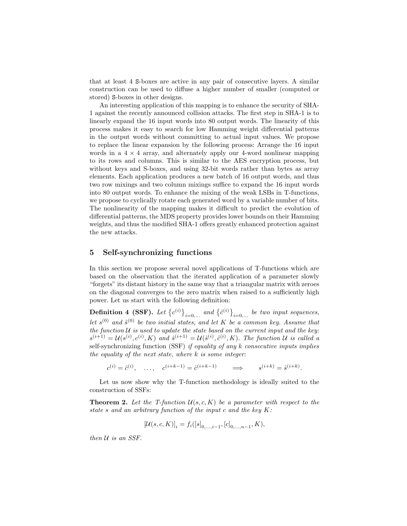that at least 4 S-boxes are active in any pair of consecutive layers. A similar construction can be used to diffuse a higher number of smaller (computed or stored) S-boxes in other designs.

An interesting application of this mapping is to enhance the security of SHA-1 against the recently announced collision attacks. The first step in SHA-1 is to linearly expand the 16 input words into 80 output words. The linearity of this process makes it easy to search for low Hamming weight differential patterns in the output words without committing to actual input values. We propose to replace the linear expansion by the following process: Arrange the 16 input words in a  $4 \times 4$  array, and alternately apply our 4-word nonlinear mapping to its rows and columns. This is similar to the AES encryption process, but without keys and S-boxes, and using 32-bit words rather than bytes as array elements. Each application produces a new batch of 16 output words, and thus two row mixings and two column mixings suffice to expand the 16 input words into 80 output words. To enhance the mixing of the weak LSBs in T-functions, we propose to cyclically rotate each generated word by a variable number of bits. The nonlinearity of the mapping makes it difficult to predict the evolution of differential patterns, the MDS property provides lower bounds on their Hamming weights, and thus the modified SHA-1 offers greatly enhanced protection against the new attacks.

### 5 Self-synchronizing functions

In this section we propose several novel applications of T-functions which are based on the observation that the iterated application of a parameter slowly "forgets" its distant history in the same way that a triangular matrix with zeroes on the diagonal converges to the zero matrix when raised to a sufficiently high power. Let us start with the following definition:

**Definition 4 (SSF).** Let  $\{c^{(i)}\}_{i=0,...}$  and  $\{\hat{c}^{(i)}\}_{i=0,...}$  be two input sequences, let  $s^{(0)}$  and  $\hat{s}^{(0)}$  be two initial states, and let K be a common key. Assume that the function  $U$  is used to update the state based on the current input and the key:  $s^{(i+1)} = \mathcal{U}(s^{(i)}, c^{(i)}, K)$  and  $\hat{s}^{(i+1)} = \mathcal{U}(\hat{s}^{(i)}, \hat{c}^{(i)}, K)$ . The function U is called a self-synchronizing function  $(SSF)$  if equality of any k consecutive inputs implies the equality of the next state, where  $k$  is some integer:

 $c^{(i)} = \hat{c}^{(i)}, \quad \dots, \quad c^{(i+k-1)} = \hat{c}^{(i+k-1)} \quad \implies \quad s^{(i+k)} = \hat{s}^{(i+k)}.$ 

Let us now show why the T-function methodology is ideally suited to the construction of SSFs:

**Theorem 2.** Let the T-function  $\mathcal{U}(s, c, K)$  be a parameter with respect to the state s and an arbitrary function of the input c and the key  $K$ :

$$
[\mathcal{U}(s,c,K)]_i = f_i([s]_{0,\ldots,i-1}, [c]_{0,\ldots,n-1}, K),
$$

then U is an SSF.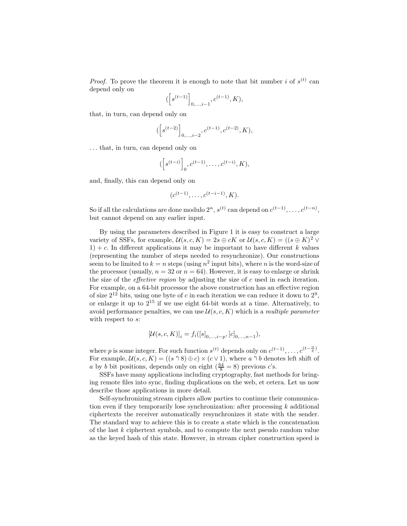*Proof.* To prove the theorem it is enough to note that bit number i of  $s^{(t)}$  can depend only on

$$
(\left[s^{(t-1)}\right]_{0,\dots,i-1},c^{(t-1)},K),
$$

that, in turn, can depend only on

$$
(\left[s^{(t-2)}\right]_{0,\ldots,i-2},c^{(t-1)},c^{(t-2)},K),
$$

. . . that, in turn, can depend only on

$$
(\left[s^{(t-i)}\right]_0, c^{(t-1)}, \dots, c^{(t-i)}, K),
$$

and, finally, this can depend only on

$$
(c^{(t-1)}, \ldots, c^{(t-i-1)}, K).
$$

So if all the calculations are done modulo  $2^n$ ,  $s^{(t)}$  can depend on  $c^{(t-1)}$ , ...,  $c^{(t-n)}$ , but cannot depend on any earlier input.

By using the parameters described in Figure 1 it is easy to construct a large variety of SSFs, for example,  $\mathcal{U}(s,c,K) = 2s \oplus cK$  or  $\mathcal{U}(s,c,K) = ((s \oplus K)^2 \vee$  $1) + c$ . In different applications it may be important to have different k values (representing the number of steps needed to resynchronize). Our constructions seem to be limited to  $k = n$  steps (using  $n^2$  input bits), where n is the word-size of the processor (usually,  $n = 32$  or  $n = 64$ ). However, it is easy to enlarge or shrink the size of the effective region by adjusting the size of c used in each iteration. For example, on a 64-bit processor the above construction has an effective region of size  $2^{12}$  bits, using one byte of c in each iteration we can reduce it down to  $2^9$ , or enlarge it up to  $2^{15}$  if we use eight 64-bit words at a time. Alternatively, to avoid performance penalties, we can use  $\mathcal{U}(s, c, K)$  which is a *multiple parameter* with respect to  $s$ :

$$
[\mathcal{U}(s,c,K)]_i = f_i([s]_{0,\ldots,i-p}, [c]_{0,\ldots,n-1}),
$$

where p is some integer. For such function  $s^{(t)}$  depends only on  $c^{(t-1)}, \ldots, c^{(t-\frac{n}{p})}$ . For example,  $\mathcal{U}(s, c, K) = ((s \uparrow 8) \oplus c) \times (c \vee 1)$ , where  $a \uparrow b$  denotes left shift of *a* by *b* bit positions, depends only on eight  $(\frac{64}{8} = 8)$  previous *c*'s.

SSFs have many applications including cryptography, fast methods for bringing remote files into sync, finding duplications on the web, et cetera. Let us now describe those applications in more detail.

Self-synchronizing stream ciphers allow parties to continue their communication even if they temporarily lose synchronization: after processing k additional ciphertexts the receiver automatically resynchronizes it state with the sender. The standard way to achieve this is to create a state which is the concatenation of the last k ciphertext symbols, and to compute the next pseudo random value as the keyed hash of this state. However, in stream cipher construction speed is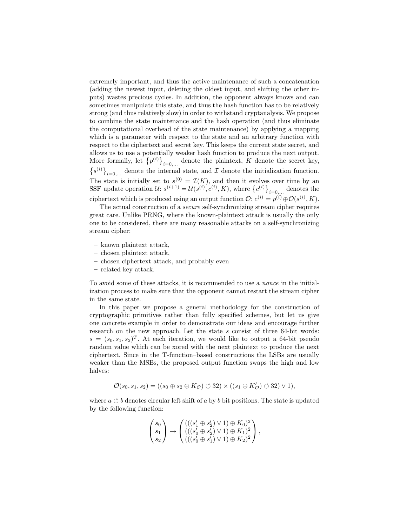extremely important, and thus the active maintenance of such a concatenation (adding the newest input, deleting the oldest input, and shifting the other inputs) wastes precious cycles. In addition, the opponent always knows and can sometimes manipulate this state, and thus the hash function has to be relatively strong (and thus relatively slow) in order to withstand cryptanalysis. We propose to combine the state maintenance and the hash operation (and thus eliminate the computational overhead of the state maintenance) by applying a mapping which is a parameter with respect to the state and an arbitrary function with respect to the ciphertext and secret key. This keeps the current state secret, and allows us to use a potentially weaker hash function to produce the next output. More formally, let  ${p^{(i)}}_{i=0,\ldots}$  denote the plaintext, K denote the secret key,  $\{s^{(i)}\}_{i=0,\ldots}$  denote the internal state, and  $\mathcal I$  denote the initialization function. The state is initially set to  $s^{(0)} = \mathcal{I}(K)$ , and then it evolves over time by an SSF update operation  $\mathcal{U}: s^{(i+1)} = \mathcal{U}(s^{(i)}, c^{(i)}, K)$ , where  $\{c^{(i)}\}_{i=0,\dots}$  denotes the ciphertext which is produced using an output function  $\mathcal{O}: c^{(i)} = p^{(i)} \oplus \mathcal{O}(s^{(i)}, K)$ .

The actual construction of a secure self-synchronizing stream cipher requires great care. Unlike PRNG, where the known-plaintext attack is usually the only one to be considered, there are many reasonable attacks on a self-synchronizing stream cipher:

- known plaintext attack,
- chosen plaintext attack,
- chosen ciphertext attack, and probably even
- related key attack.

To avoid some of these attacks, it is recommended to use a nonce in the initialization process to make sure that the opponent cannot restart the stream cipher in the same state.

In this paper we propose a general methodology for the construction of cryptographic primitives rather than fully specified schemes, but let us give one concrete example in order to demonstrate our ideas and encourage further research on the new approach. Let the state s consist of three 64-bit words:  $s = (s_0, s_1, s_2)^T$ . At each iteration, we would like to output a 64-bit pseudo random value which can be xored with the next plaintext to produce the next ciphertext. Since in the T-function–based constructions the LSBs are usually weaker than the MSBs, the proposed output function swaps the high and low halves:

$$
\mathcal{O}(s_0, s_1, s_2) = ((s_0 \oplus s_2 \oplus K_{\mathcal{O}}) \circlearrowleft 32) \times ((s_1 \oplus K_{\mathcal{O}}') \circlearrowleft 32) \vee 1),
$$

where  $a \circ b$  denotes circular left shift of a by b bit positions. The state is updated by the following function:

$$
\begin{pmatrix} s_0 \\ s_1 \\ s_2 \end{pmatrix} \rightarrow \begin{pmatrix} (((s'_1 \oplus s'_2) \vee 1) \oplus K_0)^2 \\ (((s'_0 \oplus s'_2) \vee 1) \oplus K_1)^2 \\ (((s'_0 \oplus s'_1) \vee 1) \oplus K_2)^2 \end{pmatrix},
$$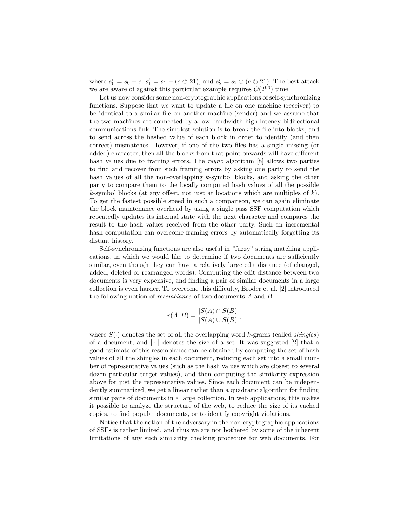where  $s'_0 = s_0 + c$ ,  $s'_1 = s_1 - (c \circ 21)$ , and  $s'_2 = s_2 \oplus (c \circ 21)$ . The best attack we are aware of against this particular example requires  $O(2^{96})$  time.

Let us now consider some non-cryptographic applications of self-synchronizing functions. Suppose that we want to update a file on one machine (receiver) to be identical to a similar file on another machine (sender) and we assume that the two machines are connected by a low-bandwidth high-latency bidirectional communications link. The simplest solution is to break the file into blocks, and to send across the hashed value of each block in order to identify (and then correct) mismatches. However, if one of the two files has a single missing (or added) character, then all the blocks from that point onwards will have different hash values due to framing errors. The *rsync* algorithm [8] allows two parties to find and recover from such framing errors by asking one party to send the hash values of all the non-overlapping k-symbol blocks, and asking the other party to compare them to the locally computed hash values of all the possible k-symbol blocks (at any offset, not just at locations which are multiples of  $k$ ). To get the fastest possible speed in such a comparison, we can again eliminate the block maintenance overhead by using a single pass SSF computation which repeatedly updates its internal state with the next character and compares the result to the hash values received from the other party. Such an incremental hash computation can overcome framing errors by automatically forgetting its distant history.

Self-synchronizing functions are also useful in "fuzzy" string matching applications, in which we would like to determine if two documents are sufficiently similar, even though they can have a relatively large edit distance (of changed, added, deleted or rearranged words). Computing the edit distance between two documents is very expensive, and finding a pair of similar documents in a large collection is even harder. To overcome this difficulty, Broder et al. [2] introduced the following notion of resemblance of two documents A and B:

$$
r(A, B) = \frac{|S(A) \cap S(B)|}{|S(A) \cup S(B)|},
$$

where  $S(\cdot)$  denotes the set of all the overlapping word k-grams (called *shingles*) of a document, and  $|\cdot|$  denotes the size of a set. It was suggested [2] that a good estimate of this resemblance can be obtained by computing the set of hash values of all the shingles in each document, reducing each set into a small number of representative values (such as the hash values which are closest to several dozen particular target values), and then computing the similarity expression above for just the representative values. Since each document can be independently summarized, we get a linear rather than a quadratic algorithm for finding similar pairs of documents in a large collection. In web applications, this makes it possible to analyze the structure of the web, to reduce the size of its cached copies, to find popular documents, or to identify copyright violations.

Notice that the notion of the adversary in the non-cryptographic applications of SSFs is rather limited, and thus we are not bothered by some of the inherent limitations of any such similarity checking procedure for web documents. For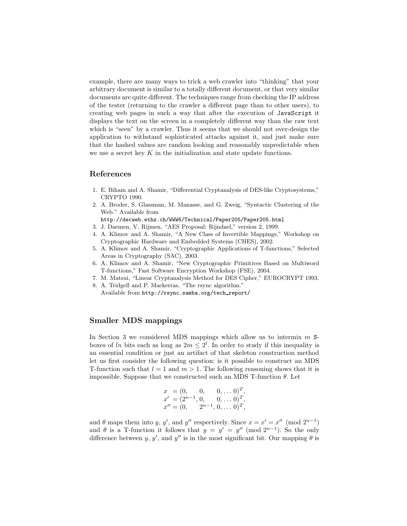example, there are many ways to trick a web crawler into "thinking" that your arbitrary document is similar to a totally different document, or that very similar documents are quite different. The techniques range from checking the IP address of the tester (returning to the crawler a different page than to other users), to creating web pages in such a way that after the execution of JavaScript it displays the text on the screen in a completely different way than the raw text which is "seen" by a crawler. Thus it seems that we should not over-design the application to withstand sophisticated attacks against it, and just make sure that the hashed values are random looking and reasonably unpredictable when we use a secret key  $K$  in the initialization and state update functions.

### References

- 1. E. Biham and A. Shamir, "Differential Cryptanalysis of DES-like Cryptosystems," CRYPTO 1990.
- 2. A. Broder, S. Glassman, M. Manasse, and G. Zweig, "Syntactic Clustering of the Web." Available from
- http://decweb.ethz.ch/WWW6/Technical/Paper205/Paper205.html
- 3. J. Daemen, V. Rijmen, "AES Proposal: Rijndael," version 2, 1999.
- 4. A. Klimov and A. Shamir, "A New Class of Invertible Mappings," Workshop on Cryptographic Hardware and Embedded Systems (CHES), 2002.
- 5. A. Klimov and A. Shamir, "Cryptographic Applications of T-functions," Selected Areas in Cryptography (SAC), 2003.
- 6. A. Klimov and A. Shamir, "New Cryptographic Primitives Based on Multiword T-functions," Fast Software Encryption Workshop (FSE), 2004.
- 7. M. Matsui, "Linear Cryptanalysis Method for DES Cipher," EUROCRYPT 1993.
- 8. A. Tridgell and P. Mackerras, "The rsync algorithm." Available from http://rsync.samba.org/tech\_report/

#### Smaller MDS mappings

In Section 3 we considered MDS mappings which allow us to intermix  $m$  Sboxes of ln bits each as long as  $2m \leq 2^l$ . In order to study if this inequality is an essential condition or just an artifact of that skeleton construction method let us first consider the following question: is it possible to construct an MDS T-function such that  $l = 1$  and  $m > 1$ . The following reasoning shows that it is impossible. Suppose that we constructed such an MDS T-function  $\theta$ . Let

$$
x = (0, 0, 0, \ldots, 0)^T, \n x' = (2^{n-1}, 0, 0, \ldots, 0)^T, \n x'' = (0, 2^{n-1}, 0, \ldots, 0)^T,
$$

and  $\theta$  maps them into y, y', and y'' respectively. Since  $x = x' = x'' \pmod{2^{n-1}}$ and  $\theta$  is a T-function it follows that  $y = y' = y'' \pmod{2^{n-1}}$ . So the only difference between y, y', and y'' is in the most significant bit. Our mapping  $\theta$  is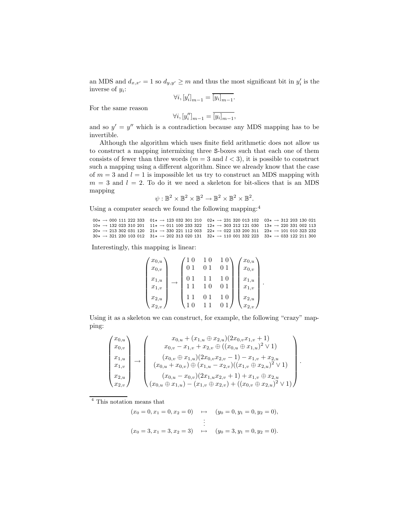an MDS and  $d_{x,x'} = 1$  so  $d_{y,y'} \ge m$  and thus the most significant bit in  $y_i'$  is the inverse of  $y_i$ :

$$
\forall i, [y'_i]_{m-1} = \overline{[y_i]_{m-1}}.
$$

For the same reason

 $\forall i, [y''_i]_{m-1} = \overline{[y_i]_{m-1}},$ 

and so  $y' = y''$  which is a contradiction because any MDS mapping has to be invertible.

Although the algorithm which uses finite field arithmetic does not allow us to construct a mapping intermixing three S-boxes such that each one of them consists of fewer than three words  $(m = 3 \text{ and } l < 3)$ , it is possible to construct such a mapping using a different algorithm. Since we already know that the case of  $m = 3$  and  $l = 1$  is impossible let us try to construct an MDS mapping with  $m = 3$  and  $l = 2$ . To do it we need a skeleton for bit-slices that is an MDS mapping

$$
\psi: \mathbb{B}^2 \times \mathbb{B}^2 \times \mathbb{B}^2 \to \mathbb{B}^2 \times \mathbb{B}^2 \times \mathbb{B}^2.
$$

Using a computer search we found the following mapping:<sup>4</sup>

```
00\star\,\rightarrow\,000\,\,111\,\,222\,\,333\quad \,01\star\,\rightarrow\,123\,\,032\,\,301\,\,210\quad \,02\star\,\rightarrow\,231\,\,320\,\,013\,\,102\quad \,03\star\,\rightarrow\,312\,\,203\,\,130\,\,02110\star \to 132 023 310 201 11\star \to 011 100 233 322 12\star \to 303 212 121 030 13\star \to 220 331 002 113
20\star \to 213 302 031 120 21\star \to 330 221 112 003 22\star \to 022 133 200 311 23\star \to 101 010 323 232
30\star \rightarrow 321\,230\,103\,012 31\star \rightarrow 202\,313\,020\,131 32\star \rightarrow 110\,001\,332\,223 33\star \rightarrow 033\,122\,211\,300
```
Interestingly, this mapping is linear:

$$
\begin{pmatrix} x_{0,u} \\ x_{0,v} \\ x_{1,u} \\ x_{1,v} \\ x_{2,u} \\ x_{2,v} \end{pmatrix} \rightarrow \begin{pmatrix} 1 & 0 & 1 & 0 & 1 & 0 \\ 0 & 1 & 0 & 1 & 0 & 1 \\ 0 & 1 & 1 & 1 & 1 & 0 \\ 1 & 1 & 1 & 0 & 0 & 1 \\ 1 & 1 & 0 & 0 & 1 & 1 \\ 1 & 0 & 1 & 1 & 0 & 1 \end{pmatrix} \begin{pmatrix} x_{0,u} \\ x_{0,v} \\ x_{1,u} \\ x_{1,v} \\ x_{2,u} \\ x_{2,v} \end{pmatrix}
$$

.

Using it as a skeleton we can construct, for example, the following "crazy" mapping:

$$
\begin{pmatrix} x_{0,u} \\ x_{0,v} \\ x_{1,u} \\ x_{1,v} \\ x_{2,u} \\ x_{2,v} \end{pmatrix} \rightarrow \begin{pmatrix} x_{0,u} + (x_{1,u} \oplus x_{2,u}) (2x_{0,v}x_{1,v} + 1) \\ x_{0,v} - x_{1,v} + x_{2,v} \oplus ((x_{0,u} \oplus x_{1,u})^2 \vee 1) \\ (x_{0,v} \oplus x_{1,u}) (2x_{0,v}x_{2,v} - 1) - x_{1,v} + x_{2,u} \\ (x_{0,u} + x_{0,v}) \oplus (x_{1,u} - x_{2,v}) ((x_{1,v} \oplus x_{2,u})^2 \vee 1) \\ (x_{0,u} - x_{0,v}) (2x_{1,u}x_{2,v} + 1) + x_{1,v} \oplus x_{2,u} \\ (x_{0,u} \oplus x_{1,u}) - (x_{1,v} \oplus x_{2,v}) + ((x_{0,v} \oplus x_{2,u})^2 \vee 1) \end{pmatrix}.
$$

 $\overline{4}$  This notation means that

$$
(x_0 = 0, x_1 = 0, x_2 = 0)
$$
  $\mapsto$   $(y_0 = 0, y_1 = 0, y_2 = 0),$   
\n $\vdots$   
\n $(x_0 = 3, x_1 = 3, x_2 = 3)$   $\mapsto$   $(y_0 = 3, y_1 = 0, y_2 = 0).$